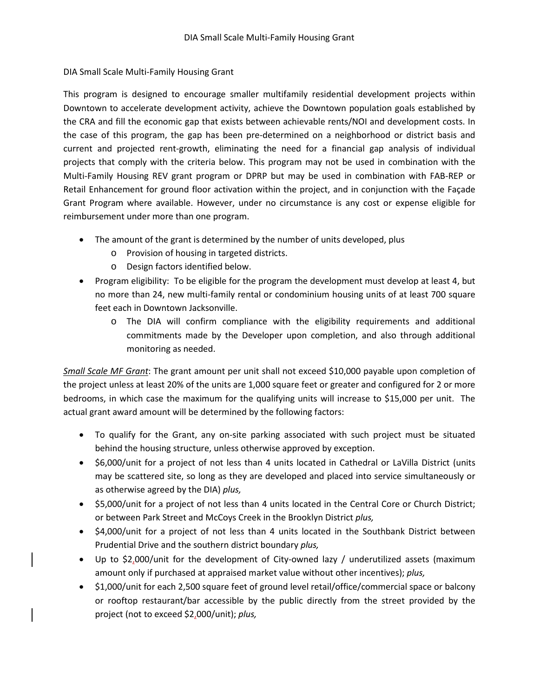## DIA Small Scale Multi-Family Housing Grant

This program is designed to encourage smaller multifamily residential development projects within Downtown to accelerate development activity, achieve the Downtown population goals established by the CRA and fill the economic gap that exists between achievable rents/NOI and development costs. In the case of this program, the gap has been pre-determined on a neighborhood or district basis and current and projected rent-growth, eliminating the need for a financial gap analysis of individual projects that comply with the criteria below. This program may not be used in combination with the Multi-Family Housing REV grant program or DPRP but may be used in combination with FAB-REP or Retail Enhancement for ground floor activation within the project, and in conjunction with the Façade Grant Program where available. However, under no circumstance is any cost or expense eligible for reimbursement under more than one program.

- The amount of the grant is determined by the number of units developed, plus
	- o Provision of housing in targeted districts.
	- o Design factors identified below.
- Program eligibility: To be eligible for the program the development must develop at least 4, but no more than 24, new multi-family rental or condominium housing units of at least 700 square feet each in Downtown Jacksonville.
	- o The DIA will confirm compliance with the eligibility requirements and additional commitments made by the Developer upon completion, and also through additional monitoring as needed.

*Small Scale MF Grant*: The grant amount per unit shall not exceed \$10,000 payable upon completion of the project unless at least 20% of the units are 1,000 square feet or greater and configured for 2 or more bedrooms, in which case the maximum for the qualifying units will increase to \$15,000 per unit. The actual grant award amount will be determined by the following factors:

- To qualify for the Grant, any on-site parking associated with such project must be situated behind the housing structure, unless otherwise approved by exception.
- \$6,000/unit for a project of not less than 4 units located in Cathedral or LaVilla District (units may be scattered site, so long as they are developed and placed into service simultaneously or as otherwise agreed by the DIA) *plus,*
- \$5,000/unit for a project of not less than 4 units located in the Central Core or Church District; or between Park Street and McCoys Creek in the Brooklyn District *plus,*
- \$4,000/unit for a project of not less than 4 units located in the Southbank District between Prudential Drive and the southern district boundary *plus,*
- Up to \$2,000/unit for the development of City-owned lazy / underutilized assets (maximum amount only if purchased at appraised market value without other incentives); *plus,*
- \$1,000/unit for each 2,500 square feet of ground level retail/office/commercial space or balcony or rooftop restaurant/bar accessible by the public directly from the street provided by the project (not to exceed \$2,000/unit); *plus,*